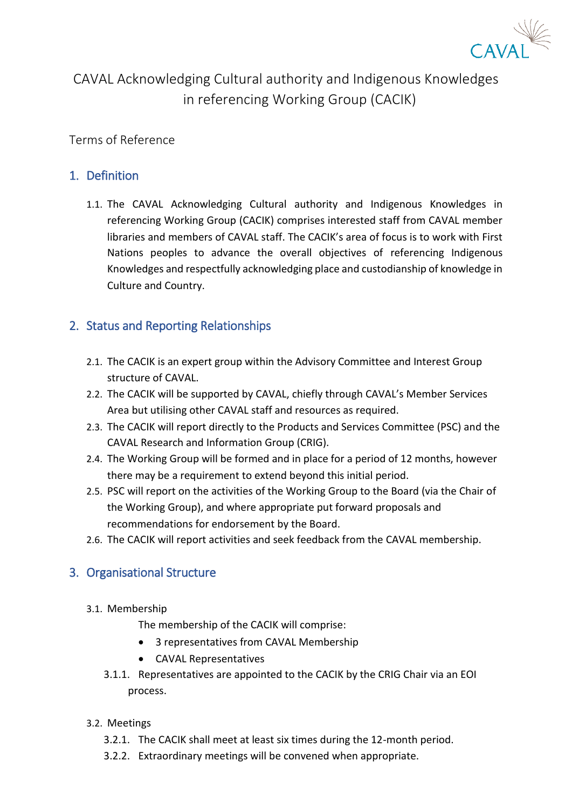

# CAVAL Acknowledging Cultural authority and Indigenous Knowledges in referencing Working Group (CACIK)

Terms of Reference

### 1. Definition

1.1. The CAVAL Acknowledging Cultural authority and Indigenous Knowledges in referencing Working Group (CACIK) comprises interested staff from CAVAL member libraries and members of CAVAL staff. The CACIK's area of focus is to work with First Nations peoples to advance the overall objectives of referencing Indigenous Knowledges and respectfully acknowledging place and custodianship of knowledge in Culture and Country.

## 2. Status and Reporting Relationships

- 2.1. The CACIK is an expert group within the Advisory Committee and Interest Group structure of CAVAL.
- 2.2. The CACIK will be supported by CAVAL, chiefly through CAVAL's Member Services Area but utilising other CAVAL staff and resources as required.
- 2.3. The CACIK will report directly to the Products and Services Committee (PSC) and the CAVAL Research and Information Group (CRIG).
- 2.4. The Working Group will be formed and in place for a period of 12 months, however there may be a requirement to extend beyond this initial period.
- 2.5. PSC will report on the activities of the Working Group to the Board (via the Chair of the Working Group), and where appropriate put forward proposals and recommendations for endorsement by the Board.
- 2.6. The CACIK will report activities and seek feedback from the CAVAL membership.

#### 3. Organisational Structure

- 3.1. Membership
	- The membership of the CACIK will comprise:
	- 3 representatives from CAVAL Membership
	- CAVAL Representatives
	- 3.1.1. Representatives are appointed to the CACIK by the CRIG Chair via an EOI process.
- 3.2. Meetings
	- 3.2.1. The CACIK shall meet at least six times during the 12-month period.
	- 3.2.2. Extraordinary meetings will be convened when appropriate.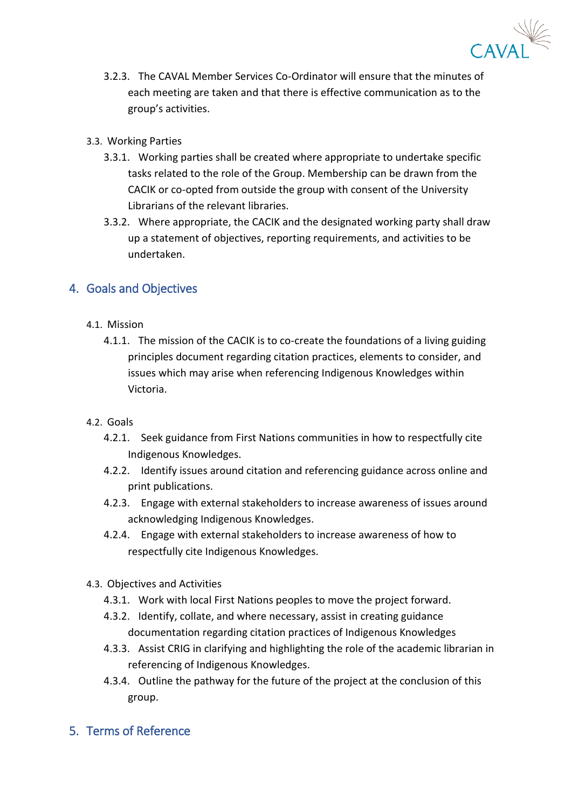

- 3.2.3. The CAVAL Member Services Co-Ordinator will ensure that the minutes of each meeting are taken and that there is effective communication as to the group's activities.
- 3.3. Working Parties
	- 3.3.1. Working parties shall be created where appropriate to undertake specific tasks related to the role of the Group. Membership can be drawn from the CACIK or co-opted from outside the group with consent of the University Librarians of the relevant libraries.
	- 3.3.2. Where appropriate, the CACIK and the designated working party shall draw up a statement of objectives, reporting requirements, and activities to be undertaken.

#### 4. Goals and Objectives

- 4.1. Mission
	- 4.1.1. The mission of the CACIK is to co-create the foundations of a living guiding principles document regarding citation practices, elements to consider, and issues which may arise when referencing Indigenous Knowledges within Victoria.
- 4.2. Goals
	- 4.2.1. Seek guidance from First Nations communities in how to respectfully cite Indigenous Knowledges.
	- 4.2.2. Identify issues around citation and referencing guidance across online and print publications.
	- 4.2.3. Engage with external stakeholders to increase awareness of issues around acknowledging Indigenous Knowledges.
	- 4.2.4. Engage with external stakeholders to increase awareness of how to respectfully cite Indigenous Knowledges.
- 4.3. Objectives and Activities
	- 4.3.1. Work with local First Nations peoples to move the project forward.
	- 4.3.2. Identify, collate, and where necessary, assist in creating guidance documentation regarding citation practices of Indigenous Knowledges
	- 4.3.3. Assist CRIG in clarifying and highlighting the role of the academic librarian in referencing of Indigenous Knowledges.
	- 4.3.4. Outline the pathway for the future of the project at the conclusion of this group.
- 5. Terms of Reference